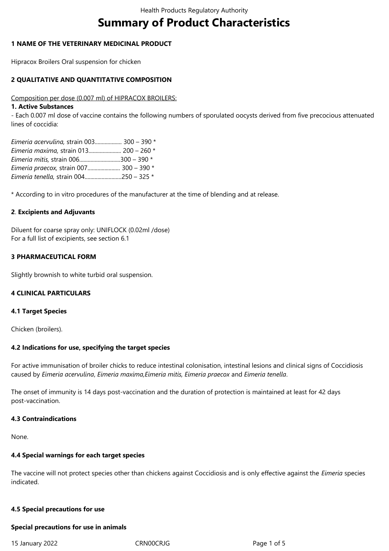# **Summary of Product Characteristics**

### **1 NAME OF THE VETERINARY MEDICINAL PRODUCT**

Hipracox Broilers Oral suspension for chicken

### **2 QUALITATIVE AND QUANTITATIVE COMPOSITION**

#### Composition per dose (0.007 ml) of HIPRACOX BROILERS:

#### **1. Active Substances**

- Each 0.007 ml dose of vaccine contains the following numbers of sporulated oocysts derived from five precocious attenuated lines of coccidia:

| Eimeria acervulina, strain 003 300 - 390 * |  |
|--------------------------------------------|--|
| Eimeria maxima, strain 013 200 - 260 *     |  |
| Eimeria mitis, strain 006300 - 390 *       |  |
| Eimeria praecox, strain 007 300 - 390 *    |  |
| Eimeria tenella, strain 004250 - 325 *     |  |

\* According to in vitro procedures of the manufacturer at the time of blending and at release.

### **2**. **Excipients and Adjuvants**

Diluent for coarse spray only: UNIFLOCK (0.02ml /dose) For a full list of excipients, see section 6.1

### **3 PHARMACEUTICAL FORM**

Slightly brownish to white turbid oral suspension.

### **4 CLINICAL PARTICULARS**

# **4.1 Target Species**

Chicken (broilers).

### **4.2 Indications for use, specifying the target species**

For active immunisation of broiler chicks to reduce intestinal colonisation, intestinal lesions and clinical signs of Coccidiosis caused by *Eimeria acervulina*, *Eimeria maxima,Eimeria mitis, Eimeria praecox* and *Eimeria tenella*.

The onset of immunity is 14 days post-vaccination and the duration of protection is maintained at least for 42 days post-vaccination.

### **4.3 Contraindications**

None.

# **4.4 Special warnings for each target species**

The vaccine will not protect species other than chickens against Coccidiosis and is only effective against the *Eimeria* species indicated.

### **4.5 Special precautions for use**

#### **Special precautions for use in animals**

15 January 2022 CRN00CRJG Page 1 of 5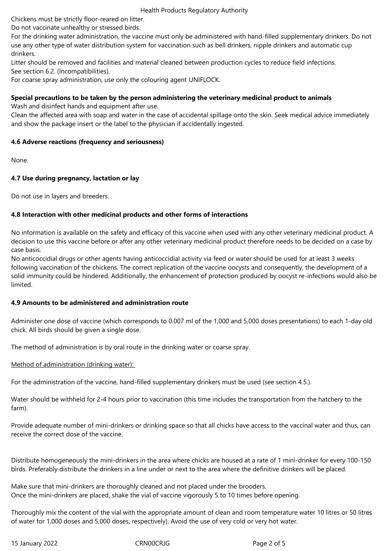Health Products Regulatory Authority

Chickens must be strictly floor-reared on litter.

Do not vaccinate unhealthy or stressed birds.

For the drinking water administration, the vaccine must only be administered with hand-filled supplementary drinkers. Do not use any other type of water distribution system for vaccination such as bell drinkers, nipple drinkers and automatic cup drinkers.

Litter should be removed and facilities and material cleaned between production cycles to reduce field infections.

See section 6.2. (Incompatibilities).

For coarse spray administration, use only the colouring agent UNIFLOCK.

# **Special precautions to be taken by the person administering the veterinary medicinal product to animals**

Wash and disinfect hands and equipment after use.

Clean the affected area with soap and water in the case of accidental spillage onto the skin. Seek medical advice immediately and show the package insert or the label to the physician if accidentally ingested.

# **4.6 Adverse reactions (frequency and seriousness)**

None.

# **4.7 Use during pregnancy, lactation or lay**

Do not use in layers and breeders.

# **4.8 Interaction with other medicinal products and other forms of interactions**

No information is available on the safety and efficacy of this vaccine when used with any other veterinary medicinal product. A decision to use this vaccine before or after any other veterinary medicinal product therefore needs to be decided on a case by case basis.

No anticoccidial drugs or other agents having anticoccidial activity via feed or water should be used for at least 3 weeks following vaccination of the chickens. The correct replication of the vaccine oocysts and consequently, the development of a solid immunity could be hindered. Additionally, the enhancement of protection produced by oocyst re-infections would also be limited.

# **4.9 Amounts to be administered and administration route**

Administer one dose of vaccine (which corresponds to 0.007 ml of the 1,000 and 5,000 doses presentations) to each 1-day old chick. All birds should be given a single dose.

The method of administration is by oral route in the drinking water or coarse spray.

# Method of administration (drinking water):

For the administration of the vaccine, hand-filled supplementary drinkers must be used (see section 4.5.).

Water should be withheld for 2-4 hours prior to vaccination (this time includes the transportation from the hatchery to the farm).

Provide adequate number of mini-drinkers or drinking space so that all chicks have access to the vaccinal water and thus, can receive the correct dose of the vaccine.

Distribute homogeneously the mini-drinkers in the area where chicks are housed at a rate of 1 mini-drinker for every 100-150 birds. Preferably distribute the drinkers in a line under or next to the area where the definitive drinkers will be placed.

Make sure that mini-drinkers are thoroughly cleaned and not placed under the brooders. Once the mini-drinkers are placed, shake the vial of vaccine vigorously 5 to 10 times before opening.

Thoroughly mix the content of the vial with the appropriate amount of clean and room temperature water 10 litres or 50 litres of water for 1,000 doses and 5,000 doses, respectively). Avoid the use of very cold or very hot water.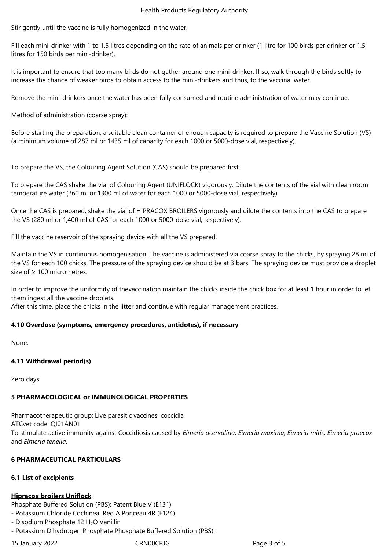#### Health Products Regulatory Authority

Stir gently until the vaccine is fully homogenized in the water.

Fill each mini-drinker with 1 to 1.5 litres depending on the rate of animals per drinker (1 litre for 100 birds per drinker or 1.5 litres for 150 birds per mini-drinker).

It is important to ensure that too many birds do not gather around one mini-drinker. If so, walk through the birds softly to increase the chance of weaker birds to obtain access to the mini-drinkers and thus, to the vaccinal water.

Remove the mini-drinkers once the water has been fully consumed and routine administration of water may continue.

Method of administration (coarse spray):

Before starting the preparation, a suitable clean container of enough capacity is required to prepare the Vaccine Solution (VS) (a minimum volume of 287 ml or 1435 ml of capacity for each 1000 or 5000-dose vial, respectively).

To prepare the VS, the Colouring Agent Solution (CAS) should be prepared first.

To prepare the CAS shake the vial of Colouring Agent (UNIFLOCK) vigorously. Dilute the contents of the vial with clean room temperature water (260 ml or 1300 ml of water for each 1000 or 5000-dose vial, respectively).

Once the CAS is prepared, shake the vial of HIPRACOX BROILERS vigorously and dilute the contents into the CAS to prepare the VS (280 ml or 1,400 ml of CAS for each 1000 or 5000-dose vial, respectively).

Fill the vaccine reservoir of the spraying device with all the VS prepared.

Maintain the VS in continuous homogenisation. The vaccine is administered via coarse spray to the chicks, by spraying 28 ml of the VS for each 100 chicks. The pressure of the spraying device should be at 3 bars. The spraying device must provide a droplet size of ≥ 100 micrometres.

In order to improve the uniformity of thevaccination maintain the chicks inside the chick box for at least 1 hour in order to let them ingest all the vaccine droplets.

After this time, place the chicks in the litter and continue with regular management practices.

### **4.10 Overdose (symptoms, emergency procedures, antidotes), if necessary**

None.

# **4.11 Withdrawal period(s)**

Zero days.

# **5 PHARMACOLOGICAL or IMMUNOLOGICAL PROPERTIES**

Pharmacotherapeutic group: Live parasitic vaccines, coccidia ATCvet code: QI01AN01 To stimulate active immunity against Coccidiosis caused by *Eimeria acervulina, Eimeria maxima, Eimeria mitis, Eimeria praecox* and *Eimeria tenella*.

# **6 PHARMACEUTICAL PARTICULARS**

# **6.1 List of excipients**

# **Hipracox broilers Uniflock**

Phosphate Buffered Solution (PBS): Patent Blue V (E131)

- Potassium Chloride Cochineal Red A Ponceau 4R (E124)

- Disodium Phosphate 12  $H_2O$  Vanillin
- Potassium Dihydrogen Phosphate Phosphate Buffered Solution (PBS):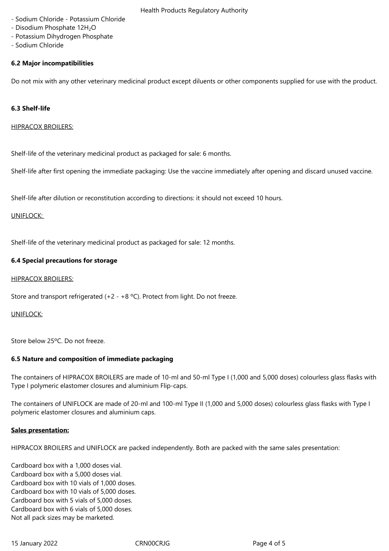- Health Products Regulatory Authority - Sodium Chloride - Potassium Chloride
- Disodium Phosphate 12H<sub>2</sub>O
- Potassium Dihydrogen Phosphate
- Sodium Chloride

# **6.2 Major incompatibilities**

Do not mix with any other veterinary medicinal product except diluents or other components supplied for use with the product.

# **6.3 Shelf-life**

### HIPRACOX BROILERS:

Shelf-life of the veterinary medicinal product as packaged for sale: 6 months.

Shelf-life after first opening the immediate packaging: Use the vaccine immediately after opening and discard unused vaccine.

Shelf-life after dilution or reconstitution according to directions: it should not exceed 10 hours.

### UNIFLOCK:

Shelf-life of the veterinary medicinal product as packaged for sale: 12 months.

### **6.4 Special precautions for storage**

### HIPRACOX BROILERS:

Store and transport refrigerated (+2 - +8 ºC). Protect from light. Do not freeze.

# UNIFLOCK:

Store below 25ºC. Do not freeze.

# **6.5 Nature and composition of immediate packaging**

The containers of HIPRACOX BROILERS are made of 10-ml and 50-ml Type I (1,000 and 5,000 doses) colourless glass flasks with Type I polymeric elastomer closures and aluminium Flip-caps.

The containers of UNIFLOCK are made of 20-ml and 100-ml Type II (1,000 and 5,000 doses) colourless glass flasks with Type I polymeric elastomer closures and aluminium caps.

### **Sales presentation:**

HIPRACOX BROILERS and UNIFLOCK are packed independently. Both are packed with the same sales presentation:

Cardboard box with a 1,000 doses vial. Cardboard box with a 5,000 doses vial. Cardboard box with 10 vials of 1,000 doses. Cardboard box with 10 vials of 5,000 doses. Cardboard box with 5 vials of 5,000 doses. Cardboard box with 6 vials of 5,000 doses. Not all pack sizes may be marketed.